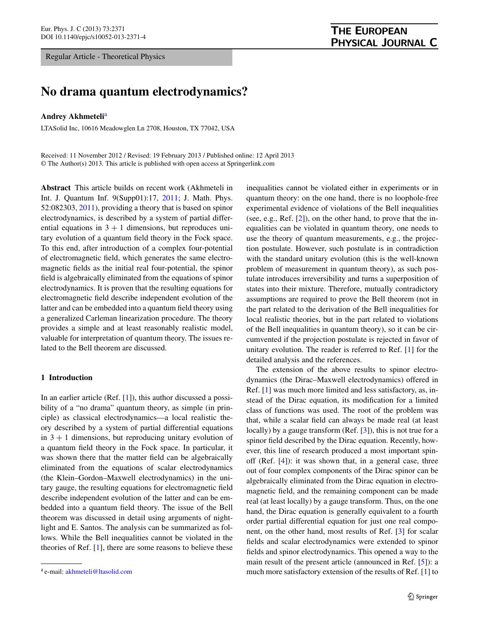Regular Article - Theoretical Physics

# **No drama quantum electrodynamics?**

### **Andrey Akhmeteli**[a](#page-0-0)

LTASolid Inc, 10616 Meadowglen Ln 2708, Houston, TX 77042, USA

Received: 11 November 2012 / Revised: 19 February 2013 / Published online: 12 April 2013 © The Author(s) 2013. This article is published with open access at Springerlink.com

**Abstract** This article builds on recent work (Akhmeteli in Int. J. Quantum Inf. 9(Supp01):17, [2011](#page-6-0); J. Math. Phys. 52:082303, [2011](#page-6-1)), providing a theory that is based on spinor electrodynamics, is described by a system of partial differential equations in  $3 + 1$  dimensions, but reproduces unitary evolution of a quantum field theory in the Fock space. To this end, after introduction of a complex four-potential of electromagnetic field, which generates the same electromagnetic fields as the initial real four-potential, the spinor field is algebraically eliminated from the equations of spinor electrodynamics. It is proven that the resulting equations for electromagnetic field describe independent evolution of the latter and can be embedded into a quantum field theory using a generalized Carleman linearization procedure. The theory provides a simple and at least reasonably realistic model, valuable for interpretation of quantum theory. The issues related to the Bell theorem are discussed.

## **1 Introduction**

In an earlier article (Ref. [\[1](#page-6-0)]), this author discussed a possibility of a "no drama" quantum theory, as simple (in principle) as classical electrodynamics—a local realistic theory described by a system of partial differential equations in  $3 + 1$  dimensions, but reproducing unitary evolution of a quantum field theory in the Fock space. In particular, it was shown there that the matter field can be algebraically eliminated from the equations of scalar electrodynamics (the Klein–Gordon–Maxwell electrodynamics) in the unitary gauge, the resulting equations for electromagnetic field describe independent evolution of the latter and can be embedded into a quantum field theory. The issue of the Bell theorem was discussed in detail using arguments of nightlight and E. Santos. The analysis can be summarized as follows. While the Bell inequalities cannot be violated in the theories of Ref. [\[1](#page-6-0)], there are some reasons to believe these

inequalities cannot be violated either in experiments or in quantum theory: on the one hand, there is no loophole-free experimental evidence of violations of the Bell inequalities (see, e.g., Ref. [\[2](#page-6-2)]), on the other hand, to prove that the inequalities can be violated in quantum theory, one needs to use the theory of quantum measurements, e.g., the projection postulate. However, such postulate is in contradiction with the standard unitary evolution (this is the well-known problem of measurement in quantum theory), as such postulate introduces irreversibility and turns a superposition of states into their mixture. Therefore, mutually contradictory assumptions are required to prove the Bell theorem (not in the part related to the derivation of the Bell inequalities for local realistic theories, but in the part related to violations of the Bell inequalities in quantum theory), so it can be circumvented if the projection postulate is rejected in favor of unitary evolution. The reader is referred to Ref. [[1\]](#page-6-0) for the detailed analysis and the references.

The extension of the above results to spinor electrodynamics (the Dirac–Maxwell electrodynamics) offered in Ref. [[1\]](#page-6-0) was much more limited and less satisfactory, as, instead of the Dirac equation, its modification for a limited class of functions was used. The root of the problem was that, while a scalar field can always be made real (at least locally) by a gauge transform (Ref. [[3\]](#page-6-3)), this is not true for a spinor field described by the Dirac equation. Recently, however, this line of research produced a most important spinoff (Ref. [[4\]](#page-6-1)): it was shown that, in a general case, three out of four complex components of the Dirac spinor can be algebraically eliminated from the Dirac equation in electromagnetic field, and the remaining component can be made real (at least locally) by a gauge transform. Thus, on the one hand, the Dirac equation is generally equivalent to a fourth order partial differential equation for just one real component, on the other hand, most results of Ref. [\[3](#page-6-3)] for scalar fields and scalar electrodynamics were extended to spinor fields and spinor electrodynamics. This opened a way to the main result of the present article (announced in Ref. [\[5](#page-6-4)]): a much more satisfactory extension of the results of Ref. [[1\]](#page-6-0) to

<span id="page-0-0"></span><sup>a</sup> e-mail: [akhmeteli@ltasolid.com](mailto:akhmeteli@ltasolid.com)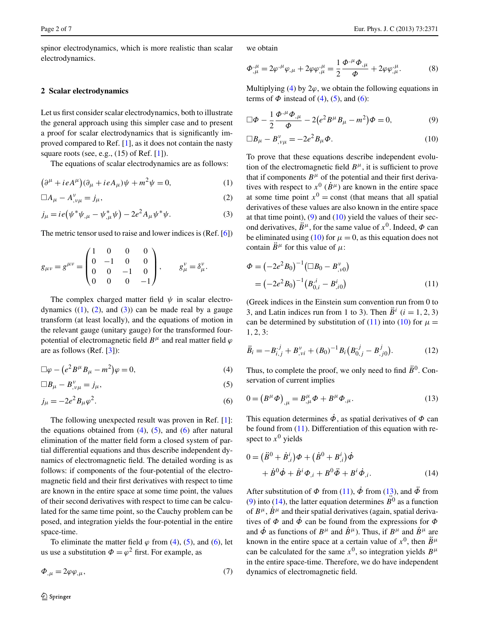spinor electrodynamics, which is more realistic than scalar electrodynamics.

## **2 Scalar electrodynamics**

<span id="page-1-2"></span><span id="page-1-1"></span><span id="page-1-0"></span>Let us first consider scalar electrodynamics, both to illustrate the general approach using this simpler case and to present a proof for scalar electrodynamics that is significantly improved compared to Ref. [[1\]](#page-6-0), as it does not contain the nasty square roots (see, e.g.,  $(15)$  of Ref.  $[1]$  $[1]$ ).

The equations of scalar electrodynamics are as follows:

$$
(\partial^{\mu} + ieA^{\mu})(\partial_{\mu} + ieA_{\mu})\psi + m^{2}\psi = 0, \qquad (1)
$$

$$
\Box A_{\mu} - A^{\nu}_{,\nu\mu} = j_{\mu},\tag{2}
$$

$$
j_{\mu} = ie(\psi^* \psi_{,\mu} - \psi_{,\mu}^* \psi) - 2e^2 A_{\mu} \psi^* \psi.
$$
 (3)

The metric tensor used to raise and lower indices is (Ref. [\[6](#page-6-5)])

$$
g_{\mu\nu} = g^{\mu\nu} = \begin{pmatrix} 1 & 0 & 0 & 0 \\ 0 & -1 & 0 & 0 \\ 0 & 0 & -1 & 0 \\ 0 & 0 & 0 & -1 \end{pmatrix}, \qquad g_{\mu}^{\nu} = \delta_{\mu}^{\nu}.
$$

<span id="page-1-5"></span><span id="page-1-4"></span><span id="page-1-3"></span>The complex charged matter field  $\psi$  in scalar electrodynamics  $((1), (2),$  $((1), (2),$  $((1), (2),$  $((1), (2),$  $((1), (2),$  and  $(3))$  $(3))$  can be made real by a gauge transform (at least locally), and the equations of motion in the relevant gauge (unitary gauge) for the transformed fourpotential of electromagnetic field  $B^{\mu}$  and real matter field  $\varphi$ are as follows (Ref. [\[3](#page-6-3)]):

$$
\Box \varphi - \left( e^2 B^\mu B_\mu - m^2 \right) \varphi = 0, \tag{4}
$$

$$
\Box B_{\mu} - B_{,\nu\mu}^{\nu} = j_{\mu},\tag{5}
$$

$$
j_{\mu} = -2e^2 B_{\mu} \varphi^2. \tag{6}
$$

The following unexpected result was proven in Ref. [[1\]](#page-6-0): the equations obtained from  $(4)$  $(4)$ ,  $(5)$  $(5)$ , and  $(6)$  $(6)$  after natural elimination of the matter field form a closed system of partial differential equations and thus describe independent dynamics of electromagnetic field. The detailed wording is as follows: if components of the four-potential of the electromagnetic field and their first derivatives with respect to time are known in the entire space at some time point, the values of their second derivatives with respect to time can be calculated for the same time point, so the Cauchy problem can be posed, and integration yields the four-potential in the entire space-time.

To eliminate the matter field  $\varphi$  from [\(4](#page-1-3)), [\(5](#page-1-4)), and [\(6](#page-1-5)), let us use a substitution  $\Phi = \varphi^2$  first. For example, as

$$
\Phi_{,\mu} = 2\varphi \varphi_{,\mu},\tag{7}
$$

<span id="page-1-6"></span>we obtain

<span id="page-1-7"></span>
$$
\Phi^{,\mu}_{,\mu} = 2\varphi^{,\mu}\varphi_{,\mu} + 2\varphi\varphi^{,\mu}_{,\mu} = \frac{1}{2}\frac{\Phi^{,\mu}\Phi_{,\mu}}{\Phi} + 2\varphi\varphi^{,\mu}_{,\mu}.
$$
 (8)

Multiplying  $(4)$  $(4)$  by  $2\varphi$ , we obtain the following equations in terms of  $\Phi$  instead of [\(4](#page-1-3)), ([5\)](#page-1-4), and [\(6](#page-1-5)):

$$
\Box \Phi - \frac{1}{2} \frac{\Phi^{\mu} \Phi_{,\mu}}{\Phi} - 2(e^2 B^{\mu} B_{\mu} - m^2) \Phi = 0, \tag{9}
$$

$$
\Box B_{\mu} - B_{,\nu\mu}^{\nu} = -2e^2 B_{\mu} \Phi. \tag{10}
$$

To prove that these equations describe independent evolution of the electromagnetic field  $B^{\mu}$ , it is sufficient to prove that if components  $B^{\mu}$  of the potential and their first derivatives with respect to  $x^0$  ( $\dot{B}^\mu$ ) are known in the entire space at some time point  $x^0$  = const (that means that all spatial derivatives of these values are also known in the entire space at that time point),  $(9)$  $(9)$  and  $(10)$  $(10)$  yield the values of their second derivatives,  $\ddot{B}^{\mu}$ , for the same value of  $x^{0}$ . Indeed,  $\Phi$  can be eliminated using ([10\)](#page-1-7) for  $\mu = 0$ , as this equation does not contain  $\ddot{B}^{\mu}$  for this value of  $\mu$ :

<span id="page-1-8"></span>
$$
\Phi = (-2e^2 B_0)^{-1} (\Box B_0 - B_{,\nu 0}^{\nu})
$$
  
= (-2e^2 B\_0)^{-1} (B\_{0,i}^{\ i} - B\_{,i0}^{\ i}) (11)

(Greek indices in the Einstein sum convention run from 0 to 3, and Latin indices run from 1 to 3). Then  $\ddot{B}^i$  (*i* = 1, 2, 3) can be determined by substitution of ([11\)](#page-1-8) into ([10](#page-1-7)) for  $\mu$  = 1*,* 2*,* 3:

<span id="page-1-9"></span>
$$
\ddot{B}_i = -B_{i,j}^{,j} + B_{,vi}^{\nu} + (B_0)^{-1} B_i (B_{0,j}^{,j} - B_{,j0}^j).
$$
 (12)

Thus, to complete the proof, we only need to find  $\ddot{B}^0$ . Conservation of current implies

<span id="page-1-10"></span>
$$
0 = (B^{\mu} \Phi)_{,\mu} = B^{\mu}_{,\mu} \Phi + B^{\mu} \Phi_{,\mu}.
$$
 (13)

This equation determines  $\dot{\phi}$ , as spatial derivatives of  $\dot{\phi}$  can be found from  $(11)$  $(11)$ . Differentiation of this equation with respect to  $x^0$  yields

$$
0 = (\ddot{B}^{0} + \dot{B}_{,i}^{i})\Phi + (\dot{B}^{0} + B_{,i}^{i})\dot{\Phi} + \dot{B}^{0}\dot{\Phi} + \dot{B}^{i}\Phi_{,i} + B^{0}\ddot{\Phi} + B^{i}\dot{\Phi}_{,i}.
$$
 (14)

After substitution of  $\Phi$  from ([11\)](#page-1-8),  $\dot{\Phi}$  from ([13\)](#page-1-9), and  $\ddot{\Phi}$  from [\(9](#page-1-6)) into ([14\)](#page-1-10), the latter equation determines  $\mathbf{B}^0$  as a function of  $B^{\mu}$ ,  $\dot{B}^{\mu}$  and their spatial derivatives (again, spatial derivatives of *Φ* and *Φ*˙ can be found from the expressions for *Φ* and  $\dot{\phi}$  as functions of  $B^{\mu}$  and  $\dot{B}^{\mu}$ ). Thus, if  $B^{\mu}$  and  $\dot{B}^{\mu}$  are known in the entire space at a certain value of  $x^0$ , then  $\ddot{B}^\mu$ can be calculated for the same  $x^0$ , so integration yields  $B^{\mu}$ in the entire space-time. Therefore, we do have independent dynamics of electromagnetic field.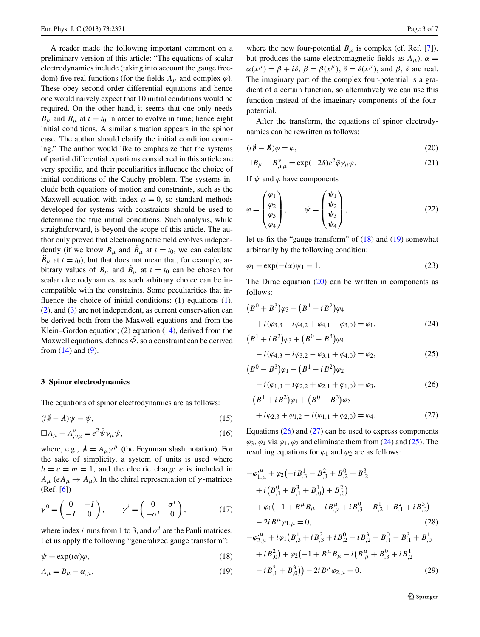A reader made the following important comment on a preliminary version of this article: "The equations of scalar electrodynamics include (taking into account the gauge freedom) five real functions (for the fields  $A_\mu$  and complex  $\varphi$ ). These obey second order differential equations and hence one would naively expect that 10 initial conditions would be required. On the other hand, it seems that one only needs  $B_{\mu}$  and  $B_{\mu}$  at  $t = t_0$  in order to evolve in time; hence eight initial conditions. A similar situation appears in the spinor case. The author should clarify the initial condition counting." The author would like to emphasize that the systems of partial differential equations considered in this article are very specific, and their peculiarities influence the choice of initial conditions of the Cauchy problem. The systems include both equations of motion and constraints, such as the Maxwell equation with index  $\mu = 0$ , so standard methods developed for systems with constraints should be used to determine the true initial conditions. Such analysis, while straightforward, is beyond the scope of this article. The author only proved that electromagnetic field evolves independently (if we know  $B_{\mu}$  and  $\dot{B}_{\mu}$  at  $t = t_0$ , we can calculate  $B_{\mu}$  at  $t = t_0$ ), but that does not mean that, for example, arbitrary values of  $B_\mu$  and  $\dot{B}_\mu$  at  $t = t_0$  can be chosen for scalar electrodynamics, as such arbitrary choice can be incompatible with the constraints. Some peculiarities that in-fluence the choice of initial conditions: [\(1](#page-1-0)) equations (1), [\(2](#page-1-1)), and [\(3](#page-1-2)) are not independent, as current conservation can be derived both from the Maxwell equations and from the Klein–Gordon equation;  $(2)$  equation  $(14)$  $(14)$ , derived from the Maxwell equations, defines  $\ddot{\phi}$ , so a constraint can be derived from  $(14)$  and  $(9)$  $(9)$ .

### **3 Spinor electrodynamics**

The equations of spinor electrodynamics are as follows:

$$
(i\partial - A)\psi = \psi,\tag{15}
$$

$$
\Box A_{\mu} - A^{\nu}_{,\nu\mu} = e^2 \bar{\psi} \gamma_{\mu} \psi, \qquad (16)
$$

where, e.g.,  $A = A_{\mu} \gamma^{\mu}$  (the Feynman slash notation). For the sake of simplicity, a system of units is used where  $\hbar = c = m = 1$ , and the electric charge *e* is included in  $A_{\mu}$  (*eA<sub>μ</sub>*  $\rightarrow$  *A<sub>μ</sub>*). In the chiral representation of *γ*-matrices (Ref. [[6\]](#page-6-5))

<span id="page-2-1"></span><span id="page-2-0"></span>
$$
\gamma^0 = \begin{pmatrix} 0 & -I \\ -I & 0 \end{pmatrix}, \qquad \gamma^i = \begin{pmatrix} 0 & \sigma^i \\ -\sigma^i & 0 \end{pmatrix}, \tag{17}
$$

where index *i* runs from 1 to 3, and  $\sigma^i$  are the Pauli matrices. Let us apply the following "generalized gauge transform":

 $\psi = \exp(i\alpha)\varphi,$  (18)

$$
A_{\mu} = B_{\mu} - \alpha_{,\mu},\tag{19}
$$

<span id="page-2-2"></span>where the new four-potential  $B_{\mu}$  is complex (cf. Ref. [[7\]](#page-6-6)), but produces the same electromagnetic fields as  $A_{\mu}$ ),  $\alpha$  =  $\alpha(x^{\mu}) = \beta + i\delta$ ,  $\beta = \beta(x^{\mu})$ ,  $\delta = \delta(x^{\mu})$ , and  $\beta$ ,  $\delta$  are real. The imaginary part of the complex four-potential is a gradient of a certain function, so alternatively we can use this function instead of the imaginary components of the fourpotential.

<span id="page-2-10"></span>After the transform, the equations of spinor electrodynamics can be rewritten as follows:

$$
(i\mathbf{\partial} - \mathbf{\dot{\beta}})\varphi = \varphi,\tag{20}
$$

$$
\Box B_{\mu} - B_{,\nu\mu}^{\nu} = \exp(-2\delta)e^{2}\bar{\varphi}\gamma_{\mu}\varphi.
$$
 (21)

If  $\psi$  and  $\varphi$  have components

<span id="page-2-9"></span>
$$
\varphi = \begin{pmatrix} \varphi_1 \\ \varphi_2 \\ \varphi_3 \\ \varphi_4 \end{pmatrix}, \qquad \psi = \begin{pmatrix} \psi_1 \\ \psi_2 \\ \psi_3 \\ \psi_4 \end{pmatrix}, \tag{22}
$$

<span id="page-2-5"></span>let us fix the "gauge transform" of ([18\)](#page-2-0) and ([19\)](#page-2-1) somewhat arbitrarily by the following condition:

$$
\varphi_1 = \exp(-i\alpha)\psi_1 = 1. \tag{23}
$$

<span id="page-2-6"></span>The Dirac equation  $(20)$  $(20)$  can be written in components as follows:

<span id="page-2-3"></span>
$$
(B0 + B3)\varphi_3 + (B1 - iB2)\varphi_4 + i(\varphi_{3,3} - i\varphi_{4,2} + \varphi_{4,1} - \varphi_{3,0}) = \varphi_1,
$$
 (24)

<span id="page-2-4"></span>
$$
(B1 + iB2)\varphi_3 + (B0 - B3)\varphi_4
$$
  
-  $i(\varphi_{4,3} - i\varphi_{3,2} - \varphi_{3,1} + \varphi_{4,0}) = \varphi_2,$  (25)

$$
(B0 - B3)\varphi1 - (B1 - iB2)\varphi2- i(\varphi1,3 - i\varphi2,2 + \varphi2,1 + \varphi1,0) = \varphi3,
$$
 (26)

$$
-(B1 + iB2)\varphi_1 + (B0 + B3)\varphi_2
$$
  
+  $i\varphi_{2,3} + \varphi_{1,2} - i(\varphi_{1,1} + \varphi_{2,0}) = \varphi_4.$  (27)

<span id="page-2-7"></span>Equations ([26\)](#page-2-3) and ([27\)](#page-2-4) can be used to express components  $\varphi_3$ ,  $\varphi_4$  via  $\varphi_1$ ,  $\varphi_2$  and eliminate them from ([24\)](#page-2-5) and ([25\)](#page-2-6). The resulting equations for  $\varphi_1$  and  $\varphi_2$  are as follows:

<span id="page-2-8"></span>
$$
-\varphi_{1,\mu}^{\mu} + \varphi_{2}(-iB_{,3}^{1} - B_{,3}^{2} + B_{,2}^{0} + B_{,2}^{3}
$$
  
+  $i(B_{,1}^{0} + B_{,1}^{3} + B_{,0}^{1}) + B_{,0}^{2})$   
+  $\varphi_{1}(-1 + B^{\mu}B_{\mu} - iB_{,\mu}^{\mu} + iB_{,3}^{0} - B_{,2}^{1} + B_{,1}^{2} + iB_{,0}^{3})$   
-  $2iB^{\mu}\varphi_{1,\mu} = 0,$  (28)  

$$
-\varphi_{2,\mu}^{\mu} + i\varphi_{1}(B_{,3}^{1} + iB_{,3}^{2} + iB_{,2}^{0} - iB_{,2}^{3} + B_{,1}^{0} - B_{,1}^{3} + B_{,0}^{1}
$$

$$
+iB_{,0}^{2}) + \varphi_{2}(-1 + B^{\mu}B_{\mu} - i(B_{,\mu}^{\mu} + B_{,3}^{0} + iB_{,2}^{1}) -i(B_{,1}^{2} + B_{,0}^{0}) - 2iB^{\mu}\varphi_{2,\mu} = 0.
$$
 (29)

2 Springer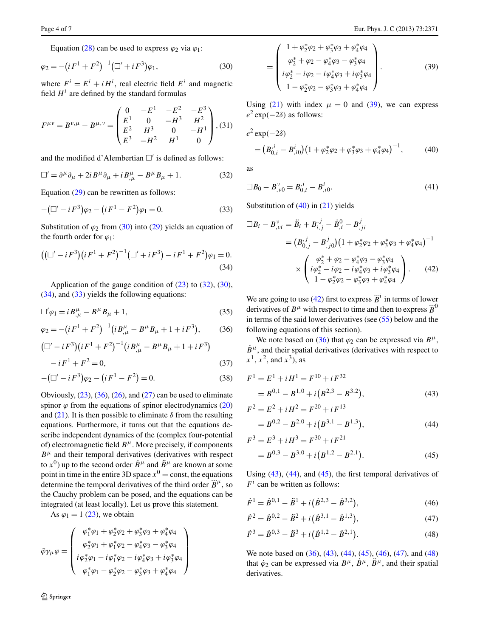<span id="page-3-0"></span>Equation ([28\)](#page-2-7) can be used to express  $\varphi_2$  via  $\varphi_1$ :

$$
\varphi_2 = -\left(iF^1 + F^2\right)^{-1} \left(\Box' + iF^3\right)\varphi_1,\tag{30}
$$

where  $F^i = E^i + iH^i$ , real electric field  $E^i$  and magnetic field  $H^i$  are defined by the standard formulas

<span id="page-3-1"></span>
$$
F^{\mu\nu} = B^{\nu,\mu} - B^{\mu,\nu} = \begin{pmatrix} 0 & -E^1 & -E^2 & -E^3 \\ E^1 & 0 & -H^3 & H^2 \\ E^2 & H^3 & 0 & -H^1 \\ E^3 & -H^2 & H^1 & 0 \end{pmatrix}, (31)
$$

<span id="page-3-3"></span>and the modified d'Alembertian  $\square'$  is defined as follows:

$$
\Box' = \partial^{\mu} \partial_{\mu} + 2i B^{\mu} \partial_{\mu} + i B^{\mu}_{,\mu} - B^{\mu} B_{\mu} + 1. \tag{32}
$$

<span id="page-3-2"></span>Equation ([29\)](#page-2-8) can be rewritten as follows:

$$
-(\Box' - iF^3)\varphi_2 - (iF^1 - F^2)\varphi_1 = 0.
$$
\n(33)

Substitution of  $\varphi_2$  from [\(30](#page-3-0)) into ([29\)](#page-2-8) yields an equation of the fourth order for  $\varphi_1$ :

<span id="page-3-4"></span>
$$
((\Box' - iF^3)(iF^1 + F^2)^{-1}(\Box' + iF^3) - iF^1 + F^2)\varphi_1 = 0.
$$
\n(34)

<span id="page-3-15"></span>Application of the gauge condition of  $(23)$  $(23)$  to  $(32)$  $(32)$ ,  $(30)$  $(30)$ , [\(34](#page-3-2)), and ([33\)](#page-3-3) yields the following equations:

<span id="page-3-14"></span>
$$
\Box' \varphi_1 = i B^{\mu}_{,\mu} - B^{\mu} B_{\mu} + 1, \qquad (35)
$$

$$
\varphi_2 = -\left(iF^1 + F^2\right)^{-1} \left(iB^{\mu}_{,\mu} - B^{\mu}B_{\mu} + 1 + iF^3\right),\tag{36}
$$

$$
(\Box' - iF^3)(iF^1 + F^2)^{-1}(iB^{\mu}_{,\mu} - B^{\mu}B_{\mu} + 1 + iF^3) - iF^1 + F^2 = 0,
$$
 (37)

$$
-(\Box' - iF^3)\varphi_2 - (iF^1 - F^2) = 0.
$$
 (38)

Obviously,  $(23)$  $(23)$ ,  $(36)$  $(36)$  $(36)$ ,  $(26)$  $(26)$ , and  $(27)$  $(27)$  can be used to eliminate spinor  $\varphi$  from the equations of spinor electrodynamics  $(20)$  $(20)$ and  $(21)$  $(21)$ . It is then possible to eliminate  $\delta$  from the resulting equations. Furthermore, it turns out that the equations describe independent dynamics of the (complex four-potential of) electromagnetic field  $B^{\mu}$ . More precisely, if components  $B^{\mu}$  and their temporal derivatives (derivatives with respect to  $x^0$ ) up to the second order  $\dot{B}^\mu$  and  $\ddot{B}^\mu$  are known at some point in time in the entire 3D space  $x^0$  = const, the equations bond in this in the entire 3D space  $\chi$  = const, the equations determine the temporal derivatives of the third order  $\dddot{B}^{\mu}$ , so the Cauchy problem can be posed, and the equations can be integrated (at least locally). Let us prove this statement.

As  $\varphi_1 = 1$  [\(23](#page-2-9)), we obtain

$$
\bar{\varphi}\gamma_{\mu}\varphi = \left(\begin{array}{c} \varphi_{1}^{*}\varphi_{1} + \varphi_{2}^{*}\varphi_{2} + \varphi_{3}^{*}\varphi_{3} + \varphi_{4}^{*}\varphi_{4} \\ \varphi_{2}^{*}\varphi_{1} + \varphi_{1}^{*}\varphi_{2} - \varphi_{4}^{*}\varphi_{3} - \varphi_{3}^{*}\varphi_{4} \\ i\varphi_{2}^{*}\varphi_{1} - i\varphi_{1}^{*}\varphi_{2} - i\varphi_{4}^{*}\varphi_{3} + i\varphi_{3}^{*}\varphi_{4} \\ \varphi_{1}^{*}\varphi_{1} - \varphi_{2}^{*}\varphi_{2} - \varphi_{3}^{*}\varphi_{3} + \varphi_{4}^{*}\varphi_{4} \end{array}\right)
$$

<span id="page-3-5"></span>
$$
= \begin{pmatrix} 1 + \varphi_2^* \varphi_2 + \varphi_3^* \varphi_3 + \varphi_4^* \varphi_4 \\ \varphi_2^* + \varphi_2 - \varphi_4^* \varphi_3 - \varphi_3^* \varphi_4 \\ i \varphi_2^* - i \varphi_2 - i \varphi_4^* \varphi_3 + i \varphi_3^* \varphi_4 \\ 1 - \varphi_2^* \varphi_2 - \varphi_3^* \varphi_3 + \varphi_4^* \varphi_4 \end{pmatrix} .
$$
 (39)

<span id="page-3-6"></span>Using ([21\)](#page-2-10) with index  $\mu = 0$  and ([39\)](#page-3-5), we can express  $e^2 \exp(-2\delta)$  as follows:

$$
e^{2} \exp(-2\delta)
$$
  
=  $(B_{0,i}^{i} - B_{,i0}^{i})(1 + \varphi_{2}^{*}\varphi_{2} + \varphi_{3}^{*}\varphi_{3} + \varphi_{4}^{*}\varphi_{4})^{-1},$  (40)

as

$$
\Box B_0 - B_{,v0}^v = B_{0,i}^i - B_{i,0}^i.
$$
 (41)

<span id="page-3-7"></span>Substitution of  $(40)$  $(40)$  in  $(21)$  $(21)$  yields

$$
\Box B_i - B_{,vi}^{\nu} = \ddot{B}_i + B_{i,j}^{,j} - \dot{B}_{,i}^0 - B_{,ji}^j
$$
  
=  $(B_{0,j}^{,j} - B_{,j0}^j)(1 + \varphi_2^* \varphi_2 + \varphi_3^* \varphi_3 + \varphi_4^* \varphi_4)^{-1}$   

$$
\times \left( \begin{array}{cc} \varphi_2^* + \varphi_2 - \varphi_4^* \varphi_3 - \varphi_3^* \varphi_4 \\ i \varphi_2^* - i \varphi_2 - i \varphi_4^* \varphi_3 + i \varphi_3^* \varphi_4 \\ 1 - \varphi_2^* \varphi_2 - \varphi_3^* \varphi_3 + \varphi_4^* \varphi_4 \end{array} \right). \tag{42}
$$

We are going to use ([42\)](#page-3-7) first to express  $\dddot{B}$ <sup>*i*</sup> in terms of lower derivatives of  $B^{\mu}$  with respect to time and then to express  $\ddot{B}^0$ in terms of the said lower derivatives (see ([55\)](#page-4-0) below and the following equations of this section).

<span id="page-3-9"></span><span id="page-3-8"></span>We note based on [\(36](#page-3-4)) that  $\varphi_2$  can be expressed via  $B^{\mu}$ ,  $\dot{B}^{\mu}$ , and their spatial derivatives (derivatives with respect to  $x^1$ ,  $x^2$ , and  $x^3$ ), as

<span id="page-3-10"></span>
$$
F1 = E1 + iH1 = F10 + iF32
$$
  
= B<sup>0,1</sup> - B<sup>1,0</sup> + i(B<sup>2,3</sup> - B<sup>3,2</sup>), (43)

$$
F2 = E2 + iH2 = F20 + iF13
$$
  
= B<sup>0,2</sup> - B<sup>2,0</sup> + i(B<sup>3,1</sup> - B<sup>1,3</sup>), (44)

<span id="page-3-12"></span><span id="page-3-11"></span>
$$
F3 = E3 + iH3 = F30 + iF21
$$
  
= B<sup>0,3</sup> - B<sup>3,0</sup> + i(B<sup>1,2</sup> - B<sup>2,1</sup>). (45)

<span id="page-3-13"></span>Using  $(43)$  $(43)$ ,  $(44)$  $(44)$ , and  $(45)$  $(45)$ , the first temporal derivatives of  $F^i$  can be written as follows:

$$
\dot{F}^1 = \dot{B}^{0,1} - \ddot{B}^1 + i(\dot{B}^{2,3} - \dot{B}^{3,2}),\tag{46}
$$

$$
\dot{F}^2 = \dot{B}^{0,2} - \ddot{B}^2 + i(\dot{B}^{3,1} - \dot{B}^{1,3}),\tag{47}
$$

$$
\dot{F}^3 = \dot{B}^{0,3} - \ddot{B}^3 + i(\dot{B}^{1,2} - \dot{B}^{2,1}).
$$
\n(48)

We note based on ([36\)](#page-3-4), ([43\)](#page-3-8), [\(44](#page-3-9)), [\(45](#page-3-10)), [\(46\)](#page-3-11), ([47\)](#page-3-12), and ([48\)](#page-3-13) that  $\dot{\varphi}_2$  can be expressed via  $B^{\mu}$ ,  $\dot{B}^{\mu}$ ,  $\ddot{B}^{\mu}$ , and their spatial derivatives.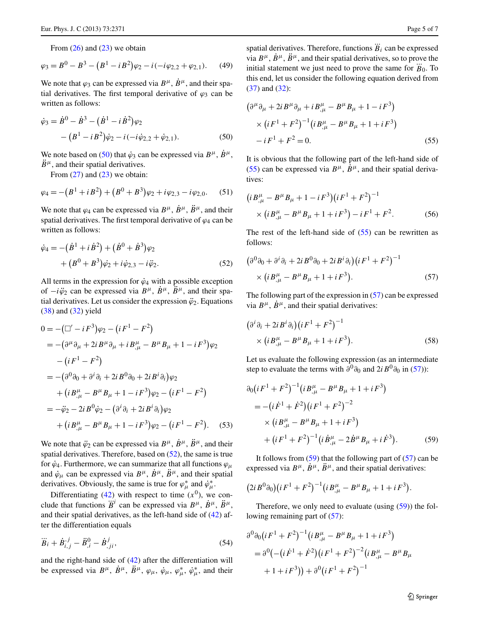<span id="page-4-1"></span>From  $(26)$  $(26)$  and  $(23)$  $(23)$  we obtain

$$
\varphi_3 = B^0 - B^3 - (B^1 - iB^2)\varphi_2 - i(-i\varphi_{2,2} + \varphi_{2,1}).
$$
 (49)

We note that  $\varphi_3$  can be expressed via  $B^{\mu}$ ,  $\dot{B}^{\mu}$ , and their spatial derivatives. The first temporal derivative of  $\varphi_3$  can be written as follows:

$$
\dot{\varphi}_3 = \dot{B}^0 - \dot{B}^3 - (\dot{B}^1 - i\dot{B}^2)\varphi_2 \n- (B^1 - iB^2)\dot{\varphi}_2 - i(-i\dot{\varphi}_{2,2} + \dot{\varphi}_{2,1}).
$$
\n(50)

We note based on [\(50](#page-4-1)) that  $\dot{\varphi}_3$  can be expressed via  $B^{\mu}$ ,  $\dot{B}^{\mu}$ ,  $\ddot{B}^{\mu}$ , and their spatial derivatives.

<span id="page-4-2"></span>From  $(27)$  $(27)$  and  $(23)$  $(23)$  we obtain:

$$
\varphi_4 = -(B^1 + iB^2) + (B^0 + B^3)\varphi_2 + i\varphi_{2,3} - i\varphi_{2,0}.\tag{51}
$$

We note that  $\varphi_4$  can be expressed via  $B^{\mu}$ ,  $\dot{B}^{\mu}$ ,  $\ddot{B}^{\mu}$ , and their spatial derivatives. The first temporal derivative of  $\varphi_4$  can be written as follows:

$$
\dot{\varphi}_4 = -(\dot{B}^1 + i\dot{B}^2) + (\dot{B}^0 + \dot{B}^3)\varphi_2 + (B^0 + B^3)\dot{\varphi}_2 + i\dot{\varphi}_{2,3} - i\ddot{\varphi}_2.
$$
\n(52)

All terms in the expression for  $\dot{\varphi}_4$  with a possible exception of  $-i\ddot{\varphi}_2$  can be expressed via  $B^{\mu}$ ,  $\dot{B}^{\mu}$ ,  $\ddot{B}^{\mu}$ , and their spatial derivatives. Let us consider the expression  $\ddot{\varphi}_2$ . Equations [\(38](#page-3-14)) and [\(32](#page-3-1)) yield

$$
0 = -(\Box' - iF^3)\varphi_2 - (iF^1 - F^2)
$$
  
= -(\partial^{\mu}\partial\_{\mu} + 2iB^{\mu}\partial\_{\mu} + iB^{\mu}\_{,\mu} - B^{\mu}B\_{\mu} + 1 - iF^3)\varphi\_2  
-(iF^1 - F^2)  
= -(\partial^0\partial\_0 + \partial^i\partial\_i + 2iB^0\partial\_0 + 2iB^i\partial\_i)\varphi\_2  
+(iB^{\mu}\_{,\mu} - B^{\mu}B\_{\mu} + 1 - iF^3)\varphi\_2 - (iF^1 - F^2)  
= -\ddot{\varphi}\_2 - 2iB^0\dot{\varphi}\_2 - (\partial^i\partial\_i + 2iB^i\partial\_i)\varphi\_2  
+(iB^{\mu}\_{,\mu} - B^{\mu}B\_{\mu} + 1 - iF^3)\varphi\_2 - (iF^1 - F^2). (53)

We note that  $\ddot{\varphi}_2$  can be expressed via  $B^{\mu}$ ,  $\dot{B}^{\mu}$ ,  $\ddot{B}^{\mu}$ , and their spatial derivatives. Therefore, based on [\(52](#page-4-2)), the same is true for  $\dot{\varphi}_4$ . Furthermore, we can summarize that all functions  $\varphi_\mu$ and  $\dot{\varphi}_{\mu}$  can be expressed via  $B^{\mu}$ ,  $\dot{B}^{\mu}$ ,  $\ddot{B}^{\mu}$ , and their spatial derivatives. Obviously, the same is true for  $\varphi^*_{\mu}$  and  $\dot{\varphi}^*_{\mu}$ .

<span id="page-4-5"></span>Differentiating ([42\)](#page-3-7) with respect to time  $(x^0)$ , we con-Expect to the  $(X^i)$ , we consider that functions  $B^i$  can be expressed via  $B^{\mu}$ ,  $\dot{B}^{\mu}$ ,  $\ddot{B}^{\mu}$ , and their spatial derivatives, as the left-hand side of [\(42\)](#page-3-7) after the differentiation equals

$$
\dddot{B}_i + \dot{B}_{i,j}^{,j} - \ddot{B}_{,i}^0 - \dot{B}_{,ji}^j,
$$
\t(54)

and the right-hand side of [\(42](#page-3-7)) after the differentiation will be expressed via  $B^{\mu}$ ,  $\dot{B}^{\mu}$ ,  $\ddot{B}^{\mu}$ ,  $\varphi_{\mu}$ ,  $\dot{\varphi}_{\mu}$ ,  $\varphi_{\mu}^{*}$ ,  $\dot{\varphi}_{\mu}^{*}$ , and their

<span id="page-4-0"></span>spatial derivatives. Therefore, functions  $\dddot{B}_i$  can be expressed via  $B^{\mu}$ ,  $\dot{B}^{\mu}$ ,  $\ddot{B}^{\mu}$ , and their spatial derivatives, so to prove the initial statement we just need to prove the same for  $\dddot{B}_0$ . To this end, let us consider the following equation derived from [\(37](#page-3-15)) and [\(32](#page-3-1)):

$$
(\partial^{\mu}\partial_{\mu} + 2i B^{\mu}\partial_{\mu} + i B^{\mu}_{,\mu} - B^{\mu}B_{\mu} + 1 - i F^{3})
$$
  
 
$$
\times (i F^{1} + F^{2})^{-1} (i B^{\mu}_{,\mu} - B^{\mu}B_{\mu} + 1 + i F^{3})
$$
  
 
$$
-i F^{1} + F^{2} = 0.
$$
 (55)

It is obvious that the following part of the left-hand side of [\(55](#page-4-0)) can be expressed via  $B^{\mu}$ ,  $\dot{B}^{\mu}$ , and their spatial derivatives:

<span id="page-4-3"></span>
$$
(i B^{\mu}_{,\mu} - B^{\mu} B_{\mu} + 1 - i F^3)(i F^1 + F^2)^{-1}
$$
  
 
$$
\times (i B^{\mu}_{,\mu} - B^{\mu} B_{\mu} + 1 + i F^3) - i F^1 + F^2.
$$
 (56)

The rest of the left-hand side of  $(55)$  $(55)$  can be rewritten as follows:

$$
(\partial^0 \partial_0 + \partial^i \partial_i + 2i B^0 \partial_0 + 2i B^i \partial_i) (i F^1 + F^2)^{-1}
$$
  
 
$$
\times (i B^\mu_{,\mu} - B^\mu B_\mu + 1 + i F^3).
$$
 (57)

The following part of the expression in ([57\)](#page-4-3) can be expressed via  $B^{\mu}$ ,  $\dot{B}^{\mu}$ , and their spatial derivatives:

$$
(\partial^i \partial_i + 2i B^i \partial_i)(i F^1 + F^2)^{-1}
$$
  
 
$$
\times (i B^\mu_{,\mu} - B^\mu B_\mu + 1 + i F^3).
$$
 (58)

<span id="page-4-4"></span>Let us evaluate the following expression (as an intermediate step to evaluate the terms with  $\partial^0 \partial_0$  and  $2i B^0 \partial_0$  in ([57\)](#page-4-3)):

$$
\partial_0 (iF^1 + F^2)^{-1} (i B^{\mu}_{,\mu} - B^{\mu} B_{\mu} + 1 + i F^3)
$$
  
= - (i \dot{F}^1 + \dot{F}^2) (i F^1 + F^2)^{-2}  
\times (i B^{\mu}\_{,\mu} - B^{\mu} B\_{\mu} + 1 + i F^3)  
+ (i F^1 + F^2)^{-1} (i \dot{B}^{\mu}\_{,\mu} - 2 \dot{B}^{\mu} B\_{\mu} + i \dot{F}^3). (59)

It follows from  $(59)$  $(59)$  that the following part of  $(57)$  $(57)$  can be expressed via  $B^{\mu}$ ,  $\dot{B}^{\mu}$ ,  $\ddot{B}^{\mu}$ , and their spatial derivatives:

$$
(2i B^{0} \partial_{0})(i F^{1} + F^{2})^{-1} (i B^{\mu}_{,\mu} - B^{\mu} B_{\mu} + 1 + i F^{3}).
$$

Therefore, we only need to evaluate (using [\(59](#page-4-4))) the following remaining part of  $(57)$  $(57)$ :

$$
\partial^0 \partial_0 (iF^1 + F^2)^{-1} (i B^{\mu}_{,\mu} - B^{\mu} B_{\mu} + 1 + i F^3)
$$
  
=  $\partial^0 (-(i \dot{F}^1 + \dot{F}^2) (i F^1 + F^2)^{-2} (i B^{\mu}_{,\mu} - B^{\mu} B_{\mu} + 1 + i F^3)) + \partial^0 (i F^1 + F^2)^{-1}$ 

2 Springer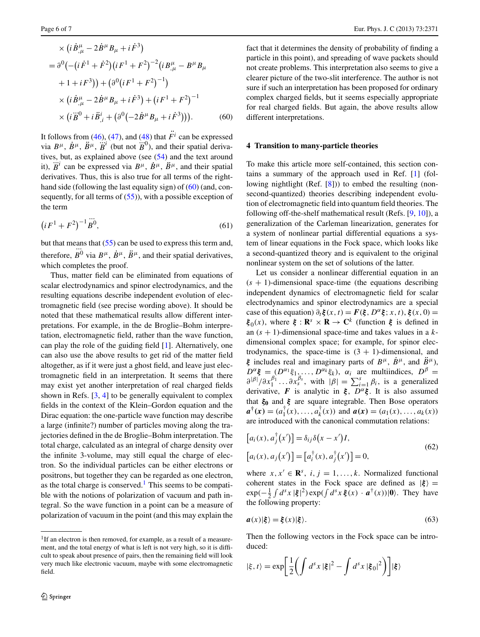<span id="page-5-0"></span>
$$
\times (i\dot{B}^{\mu}_{,\mu} - 2\dot{B}^{\mu}B_{\mu} + i\dot{F}^{3})
$$
  
=  $\partial^{0}(-(i\dot{F}^{1} + \dot{F}^{2})(iF^{1} + F^{2})^{-2}(iB^{\mu}_{,\mu} - B^{\mu}B_{\mu}$   
+  $1 + iF^{3})$ ) +  $(\partial^{0}(iF^{1} + F^{2})^{-1})$   
 $\times (i\dot{B}^{\mu}_{,\mu} - 2\dot{B}^{\mu}B_{\mu} + i\dot{F}^{3}) + (iF^{1} + F^{2})^{-1}$   
 $\times (i\ddot{B}^{0} + i\ddot{B}^{i}_{,\mu} + (\partial^{0}(-2\dot{B}^{\mu}B_{\mu} + i\dot{F}^{3}))).$  (60)

It follows from [\(46](#page-3-11)), ([47\)](#page-3-12), and ([48\)](#page-3-13) that  $\ddot{F}$ <sup>*i*</sup> can be expressed via  $B^{\mu}$ ,  $\dot{B}^{\mu}$ ,  $\ddot{B}^{\mu}$ ,  $\dddot{B}^{\mu}$ ,  $\dddot{B}^{\mu}$  (but not  $\dddot{B}^{0}$ ), and their spatial derivatives, but, as explained above (see ([54\)](#page-4-5) and the text around it),  $\dddot{B}^i$  can be expressed via  $B^{\mu}$ ,  $\dot{B}^{\mu}$ ,  $\ddot{B}^{\mu}$ , and their spatial derivatives. Thus, this is also true for all terms of the right-hand side (following the last equality sign) of ([60\)](#page-5-0) (and, consequently, for all terms of  $(55)$  $(55)$ , with a possible exception of the term

$$
\left(iF^1 + F^2\right)^{-1} \stackrel{\cdots}{B^0},\tag{61}
$$

but that means that  $(55)$  $(55)$  can be used to express this term and, therefore,  $B^0$  via  $B^{\mu}$ ,  $\dot{B}^{\mu}$ ,  $\ddot{B}^{\mu}$ , and their spatial derivatives, which completes the proof.

Thus, matter field can be eliminated from equations of scalar electrodynamics and spinor electrodynamics, and the resulting equations describe independent evolution of electromagnetic field (see precise wording above). It should be noted that these mathematical results allow different interpretations. For example, in the de Broglie–Bohm interpretation, electromagnetic field, rather than the wave function, can play the role of the guiding field [\[1](#page-6-0)]. Alternatively, one can also use the above results to get rid of the matter field altogether, as if it were just a ghost field, and leave just electromagnetic field in an interpretation. It seems that there may exist yet another interpretation of real charged fields shown in Refs. [[3,](#page-6-3) [4\]](#page-6-1) to be generally equivalent to complex fields in the context of the Klein–Gordon equation and the Dirac equation: the one-particle wave function may describe a large (infinite?) number of particles moving along the trajectories defined in the de Broglie–Bohm interpretation. The total charge, calculated as an integral of charge density over the infinite 3-volume, may still equal the charge of electron. So the individual particles can be either electrons or positrons, but together they can be regarded as one electron, as the total charge is conserved.<sup>1</sup> This seems to be compatible with the notions of polarization of vacuum and path integral. So the wave function in a point can be a measure of polarization of vacuum in the point (and this may explain the

fact that it determines the density of probability of finding a particle in this point), and spreading of wave packets should not create problems. This interpretation also seems to give a clearer picture of the two-slit interference. The author is not sure if such an interpretation has been proposed for ordinary complex charged fields, but it seems especially appropriate for real charged fields. But again, the above results allow different interpretations.

#### **4 Transition to many-particle theories**

To make this article more self-contained, this section contains a summary of the approach used in Ref. [\[1](#page-6-0)] (following nightlight (Ref. [\[8\]](#page-6-7))) to embed the resulting (nonsecond-quantized) theories describing independent evolution of electromagnetic field into quantum field theories. The following off-the-shelf mathematical result (Refs. [\[9](#page-6-8), [10](#page-6-9)]), a generalization of the Carleman linearization, generates for a system of nonlinear partial differential equations a system of linear equations in the Fock space, which looks like a second-quantized theory and is equivalent to the original nonlinear system on the set of solutions of the latter.

Let us consider a nonlinear differential equation in an  $(s + 1)$ -dimensional space-time (the equations describing independent dynamics of electromagnetic field for scalar electrodynamics and spinor electrodynamics are a special case of this equation)  $\partial_t \xi(x, t) = F(\xi, D^{\alpha} \xi; x, t), \xi(x, 0) =$ *ξ*<sub>0</sub>(*x*), where *ξ* : **R**<sup>*s*</sup> × **R** → **C**<sup>*k*</sup> (function *ξ* is defined in an (*s* + 1)-dimensional space-time and takes values in a *k*dimensional complex space; for example, for spinor electrodynamics, the space-time is  $(3 + 1)$ -dimensional, and *ξ* includes real and imaginary parts of  $B^{\mu}$ ,  $\dot{B}^{\mu}$ , and  $\ddot{B}^{\mu}$ ),  $D^{\alpha}$ **ξ** =  $(D^{\alpha_1} \xi_1, \ldots, D^{\alpha_k} \xi_k)$ ,  $\alpha_i$  are multiindices,  $D^{\beta}$  =  $\frac{\partial^{|\beta|}}{\partial x_1^{\beta_1}} \dots \frac{\partial^{|\beta|}}{\partial x_s^{\beta_s}}$ , with  $|\beta| = \sum_{i=1}^s \beta_i$ , is a generalized derivative, **F** is analytic in  $\xi$ ,  $D^{\alpha}\xi$ . It is also assumed that *ξ***<sup>0</sup>** and *ξ* are square integrable. Then Bose operators  $a^{\dagger}$  (x) =  $(a_1^{\dagger}(x),...,a_k^{\dagger}(x))$  and  $a(x) = (a_1(x),...,a_k(x))$ are introduced with the canonical commutation relations:

<span id="page-5-2"></span>
$$
[a_i(x), a_j^{\dagger}(x')] = \delta_{ij}\delta(x - x')I,
$$
  
\n
$$
[a_i(x), a_j(x')] = [a_i^{\dagger}(x), a_j^{\dagger}(x')] = 0,
$$
\n(62)

where  $x, x' \in \mathbb{R}^s$ ,  $i, j = 1, \ldots, k$ . Normalized functional coherent states in the Fock space are defined as  $|\xi\rangle$  =  $\exp(-\frac{1}{2}\int d^s x |\xi|^2) \exp(\int d^s x \xi(x) \cdot \mathbf{a}^\dagger(x)) |\mathbf{0}\rangle$ . They have the following property:

$$
a(x)|\xi\rangle = \xi(x)|\xi\rangle. \tag{63}
$$

Then the following vectors in the Fock space can be introduced:

$$
|\xi, t\rangle = \exp\left[\frac{1}{2}\left(\int d^sx\,|\xi|^2 - \int d^sx\,|\xi_0|^2\right)\right]|\xi\rangle
$$

<span id="page-5-1"></span><sup>&</sup>lt;sup>1</sup>If an electron is then removed, for example, as a result of a measurement, and the total energy of what is left is not very high, so it is difficult to speak about presence of pairs, then the remaining field will look very much like electronic vacuum, maybe with some electromagnetic field.